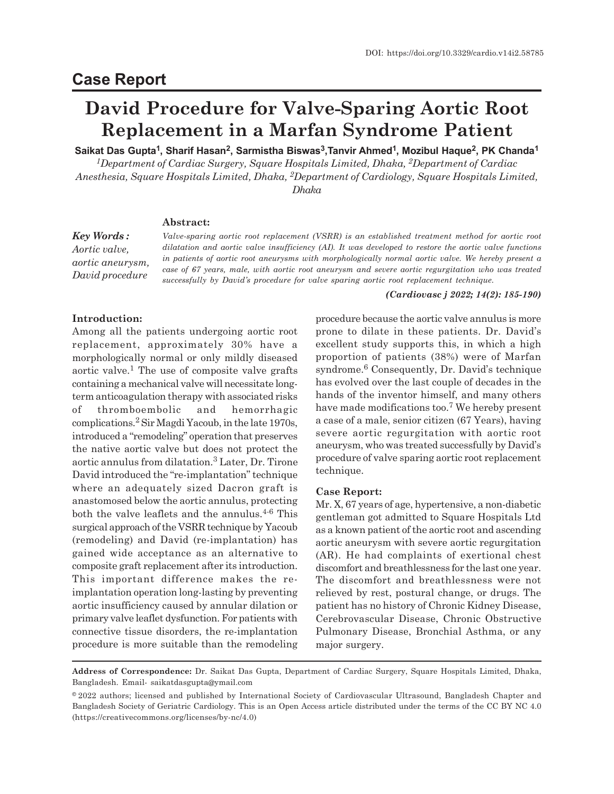# **Case Report**

# **David Procedure for Valve-Sparing Aortic Root Replacement in a Marfan Syndrome Patient**

**Saikat Das Gupta 1 , Sharif Hasan<sup>2</sup> , Sarmistha Biswas<sup>3</sup> ,Tanvir Ahmed<sup>1</sup> , Mozibul Haque<sup>2</sup> , PK Chanda<sup>1</sup>**

*<sup>1</sup>Department of Cardiac Surgery, Square Hospitals Limited, Dhaka, 2Department of Cardiac Anesthesia, Square Hospitals Limited, Dhaka, 2Department of Cardiology, Square Hospitals Limited, Dhaka*

# **Abstract:**

*Key Words : Aortic valve, aortic aneurysm, David procedure*

*Valve-sparing aortic root replacement (VSRR) is an established treatment method for aortic root dilatation and aortic valve insufficiency (AI). It was developed to restore the aortic valve functions in patients of aortic root aneurysms with morphologically normal aortic valve. We hereby present a case of 67 years, male, with aortic root aneurysm and severe aortic regurgitation who was treated successfully by David's procedure for valve sparing aortic root replacement technique.*

#### *(Cardiovasc j 2022; 14(2): 185-190)*

# **Introduction:**

Among all the patients undergoing aortic root replacement, approximately 30% have a morphologically normal or only mildly diseased aortic valve.<sup>1</sup> The use of composite valve grafts containing a mechanical valve will necessitate longterm anticoagulation therapy with associated risks of thromboembolic and hemorrhagic complications.<sup>2</sup> Sir Magdi Yacoub, in the late 1970s, introduced a "remodeling" operation that preserves the native aortic valve but does not protect the aortic annulus from dilatation.<sup>3</sup> Later, Dr. Tirone David introduced the "re-implantation" technique where an adequately sized Dacron graft is anastomosed below the aortic annulus, protecting both the valve leaflets and the annulus. $4-6$  This surgical approach of the VSRR technique by Yacoub (remodeling) and David (re-implantation) has gained wide acceptance as an alternative to composite graft replacement after its introduction. This important difference makes the reimplantation operation long-lasting by preventing aortic insufficiency caused by annular dilation or primary valve leaflet dysfunction. For patients with connective tissue disorders, the re-implantation procedure is more suitable than the remodeling procedure because the aortic valve annulus is more prone to dilate in these patients. Dr. David's excellent study supports this, in which a high proportion of patients (38%) were of Marfan syndrome.<sup>6</sup> Consequently, Dr. David's technique has evolved over the last couple of decades in the hands of the inventor himself, and many others have made modifications too.<sup>7</sup> We hereby present a case of a male, senior citizen (67 Years), having severe aortic regurgitation with aortic root aneurysm, who was treated successfully by David's procedure of valve sparing aortic root replacement technique.

### **Case Report:**

Mr. X, 67 years of age, hypertensive, a non-diabetic gentleman got admitted to Square Hospitals Ltd as a known patient of the aortic root and ascending aortic aneurysm with severe aortic regurgitation (AR). He had complaints of exertional chest discomfort and breathlessness for the last one year. The discomfort and breathlessness were not relieved by rest, postural change, or drugs. The patient has no history of Chronic Kidney Disease, Cerebrovascular Disease, Chronic Obstructive Pulmonary Disease, Bronchial Asthma, or any major surgery.

**Address of Correspondence:** Dr. Saikat Das Gupta, Department of Cardiac Surgery, Square Hospitals Limited, Dhaka, Bangladesh. Email- saikatdasgupta@ymail.com

<sup>©2022</sup> authors; licensed and published by International Society of Cardiovascular Ultrasound, Bangladesh Chapter and Bangladesh Society of Geriatric Cardiology. This is an Open Access article distributed under the terms of the CC BY NC 4.0 (https://creativecommons.org/licenses/by-nc/4.0)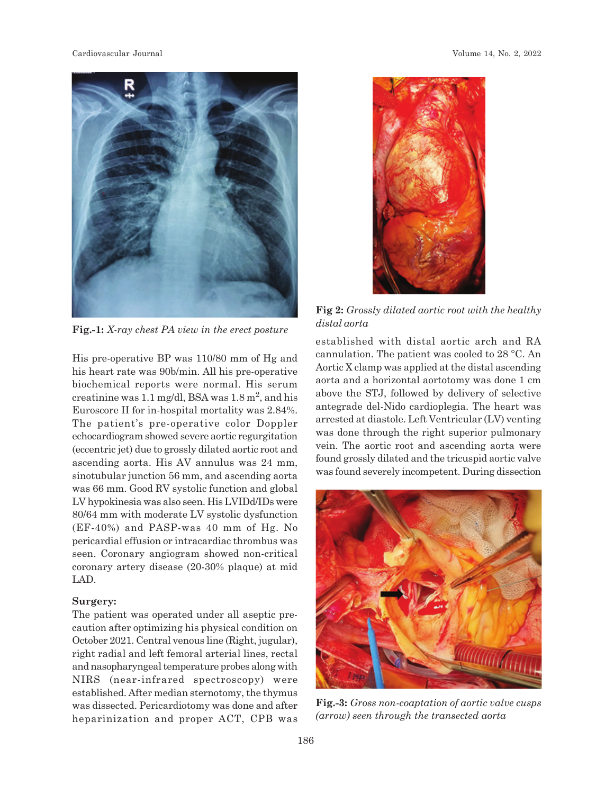

**Fig.-1:** *X-ray chest PA view in the erect posture*

His pre-operative BP was 110/80 mm of Hg and his heart rate was 90b/min. All his pre-operative biochemical reports were normal. His serum creatinine was 1.1 mg/dl, BSA was  $1.8 \text{ m}^2$ , and his Euroscore II for in-hospital mortality was 2.84%. The patient's pre-operative color Doppler echocardiogram showed severe aortic regurgitation (eccentric jet) due to grossly dilated aortic root and ascending aorta. His AV annulus was 24 mm, sinotubular junction 56 mm, and ascending aorta was 66 mm. Good RV systolic function and global LV hypokinesia was also seen. His LVIDd/IDs were 80/64 mm with moderate LV systolic dysfunction (EF-40%) and PASP-was 40 mm of Hg. No pericardial effusion or intracardiac thrombus was seen. Coronary angiogram showed non-critical coronary artery disease (20-30% plaque) at mid LAD.

# **Surgery:**

The patient was operated under all aseptic precaution after optimizing his physical condition on October 2021. Central venous line (Right, jugular), right radial and left femoral arterial lines, rectal and nasopharyngeal temperature probes along with NIRS (near-infrared spectroscopy) were established. After median sternotomy, the thymus was dissected. Pericardiotomy was done and after heparinization and proper ACT, CPB was



**Fig 2:** *Grossly dilated aortic root with the healthy distal aorta*

established with distal aortic arch and RA cannulation. The patient was cooled to 28 °C. An Aortic X clamp was applied at the distal ascending aorta and a horizontal aortotomy was done 1 cm above the STJ, followed by delivery of selective antegrade del-Nido cardioplegia. The heart was arrested at diastole. Left Ventricular (LV) venting was done through the right superior pulmonary vein. The aortic root and ascending aorta were found grossly dilated and the tricuspid aortic valve was found severely incompetent. During dissection



**Fig.-3:** *Gross non-coaptation of aortic valve cusps (arrow) seen through the transected aorta*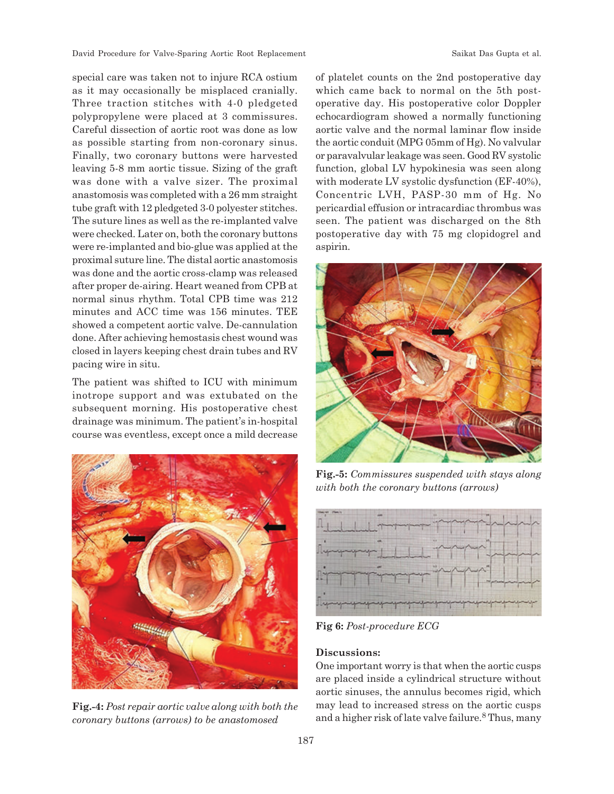special care was taken not to injure RCA ostium as it may occasionally be misplaced cranially. Three traction stitches with 4-0 pledgeted polypropylene were placed at 3 commissures. Careful dissection of aortic root was done as low as possible starting from non-coronary sinus. Finally, two coronary buttons were harvested leaving 5-8 mm aortic tissue. Sizing of the graft was done with a valve sizer. The proximal anastomosis was completed with a 26 mm straight tube graft with 12 pledgeted 3-0 polyester stitches. The suture lines as well as the re-implanted valve were checked. Later on, both the coronary buttons were re-implanted and bio-glue was applied at the proximal suture line. The distal aortic anastomosis was done and the aortic cross-clamp was released after proper de-airing. Heart weaned from CPB at normal sinus rhythm. Total CPB time was 212 minutes and ACC time was 156 minutes. TEE showed a competent aortic valve. De-cannulation done. After achieving hemostasis chest wound was closed in layers keeping chest drain tubes and RV pacing wire in situ.

The patient was shifted to ICU with minimum inotrope support and was extubated on the subsequent morning. His postoperative chest drainage was minimum. The patient's in-hospital course was eventless, except once a mild decrease



**Fig.-4:** *Post repair aortic valve along with both the coronary buttons (arrows) to be anastomosed*

of platelet counts on the 2nd postoperative day which came back to normal on the 5th postoperative day. His postoperative color Doppler echocardiogram showed a normally functioning aortic valve and the normal laminar flow inside the aortic conduit (MPG 05mm of Hg). No valvular or paravalvular leakage was seen. Good RV systolic function, global LV hypokinesia was seen along with moderate LV systolic dysfunction (EF-40%), Concentric LVH, PASP-30 mm of Hg. No pericardial effusion or intracardiac thrombus was seen. The patient was discharged on the 8th postoperative day with 75 mg clopidogrel and aspirin.



**Fig.-5:** *Commissures suspended with stays along with both the coronary buttons (arrows)*



**Fig 6:** *Post-procedure ECG*

### **Discussions:**

One important worry is that when the aortic cusps are placed inside a cylindrical structure without aortic sinuses, the annulus becomes rigid, which may lead to increased stress on the aortic cusps and a higher risk of late valve failure.<sup>8</sup> Thus, many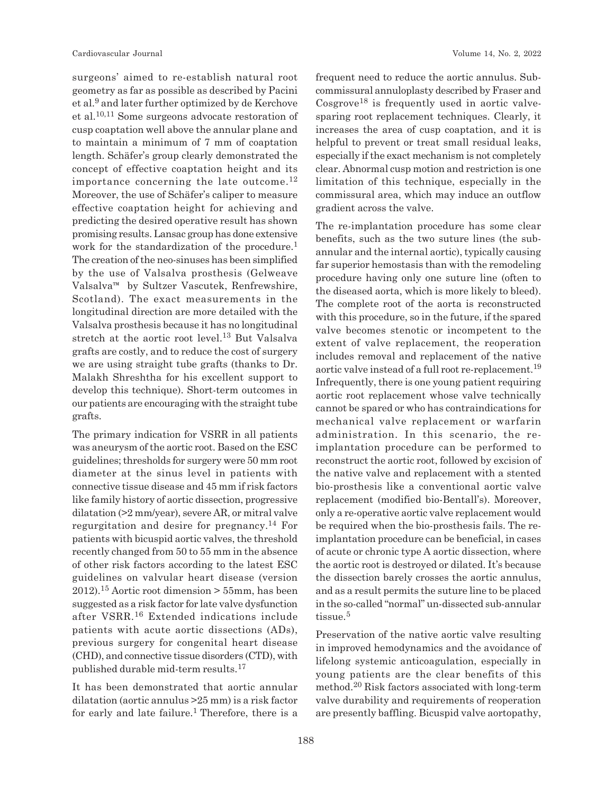surgeons' aimed to re-establish natural root geometry as far as possible as described by Pacini et al.<sup>9</sup> and later further optimized by de Kerchove et al.10,11 Some surgeons advocate restoration of cusp coaptation well above the annular plane and to maintain a minimum of 7 mm of coaptation length. Schäfer's group clearly demonstrated the concept of effective coaptation height and its importance concerning the late outcome.<sup>12</sup> Moreover, the use of Schäfer's caliper to measure effective coaptation height for achieving and predicting the desired operative result has shown promising results. Lansac group has done extensive work for the standardization of the procedure.<sup>1</sup> The creation of the neo-sinuses has been simplified by the use of Valsalva prosthesis (Gelweave Valsalva™ by Sultzer Vascutek, Renfrewshire, Scotland). The exact measurements in the longitudinal direction are more detailed with the Valsalva prosthesis because it has no longitudinal stretch at the aortic root level.13 But Valsalva grafts are costly, and to reduce the cost of surgery we are using straight tube grafts (thanks to Dr. Malakh Shreshtha for his excellent support to develop this technique). Short-term outcomes in our patients are encouraging with the straight tube grafts.

The primary indication for VSRR in all patients was aneurysm of the aortic root. Based on the ESC guidelines; thresholds for surgery were 50 mm root diameter at the sinus level in patients with connective tissue disease and 45 mm if risk factors like family history of aortic dissection, progressive dilatation (>2 mm/year), severe AR, or mitral valve regurgitation and desire for pregnancy.14 For patients with bicuspid aortic valves, the threshold recently changed from 50 to 55 mm in the absence of other risk factors according to the latest ESC guidelines on valvular heart disease (version 2012).15 Aortic root dimension > 55mm, has been suggested as a risk factor for late valve dysfunction after VSRR.16 Extended indications include patients with acute aortic dissections (ADs), previous surgery for congenital heart disease (CHD), and connective tissue disorders (CTD), with published durable mid-term results.<sup>17</sup>

It has been demonstrated that aortic annular dilatation (aortic annulus >25 mm) is a risk factor for early and late failure.<sup>1</sup> Therefore, there is a frequent need to reduce the aortic annulus. Subcommissural annuloplasty described by Fraser and  $Cosgrove<sup>18</sup>$  is frequently used in aortic valvesparing root replacement techniques. Clearly, it increases the area of cusp coaptation, and it is helpful to prevent or treat small residual leaks, especially if the exact mechanism is not completely clear. Abnormal cusp motion and restriction is one limitation of this technique, especially in the commissural area, which may induce an outflow gradient across the valve.

The re-implantation procedure has some clear benefits, such as the two suture lines (the subannular and the internal aortic), typically causing far superior hemostasis than with the remodeling procedure having only one suture line (often to the diseased aorta, which is more likely to bleed). The complete root of the aorta is reconstructed with this procedure, so in the future, if the spared valve becomes stenotic or incompetent to the extent of valve replacement, the reoperation includes removal and replacement of the native aortic valve instead of a full root re-replacement.<sup>19</sup> Infrequently, there is one young patient requiring aortic root replacement whose valve technically cannot be spared or who has contraindications for mechanical valve replacement or warfarin administration. In this scenario, the reimplantation procedure can be performed to reconstruct the aortic root, followed by excision of the native valve and replacement with a stented bio-prosthesis like a conventional aortic valve replacement (modified bio-Bentall's). Moreover, only a re-operative aortic valve replacement would be required when the bio-prosthesis fails. The reimplantation procedure can be beneficial, in cases of acute or chronic type A aortic dissection, where the aortic root is destroyed or dilated. It's because the dissection barely crosses the aortic annulus, and as a result permits the suture line to be placed in the so-called "normal" un-dissected sub-annular tissue.<sup>5</sup>

Preservation of the native aortic valve resulting in improved hemodynamics and the avoidance of lifelong systemic anticoagulation, especially in young patients are the clear benefits of this method.20 Risk factors associated with long-term valve durability and requirements of reoperation are presently baffling. Bicuspid valve aortopathy,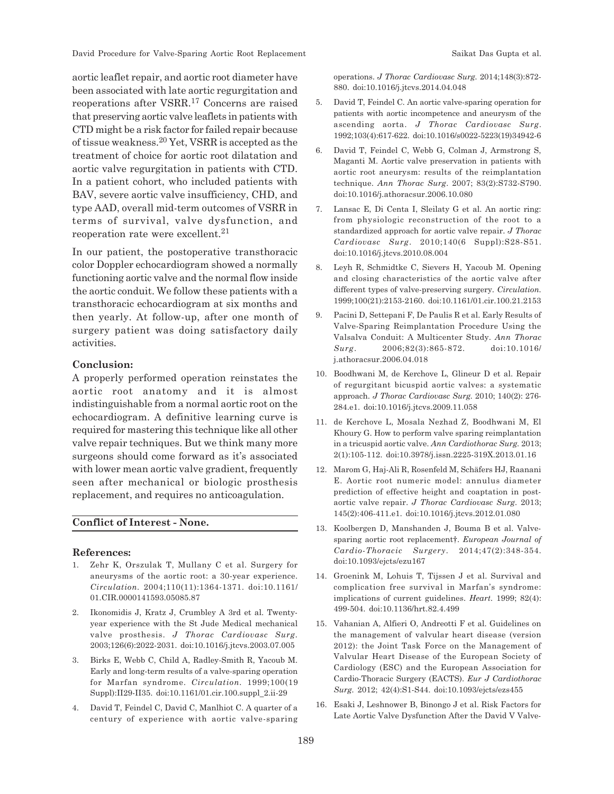aortic leaflet repair, and aortic root diameter have been associated with late aortic regurgitation and reoperations after VSRR.17 Concerns are raised that preserving aortic valve leaflets in patients with CTD might be a risk factor for failed repair because of tissue weakness.20 Yet, VSRR is accepted as the treatment of choice for aortic root dilatation and aortic valve regurgitation in patients with CTD. In a patient cohort, who included patients with BAV, severe aortic valve insufficiency, CHD, and type AAD, overall mid-term outcomes of VSRR in terms of survival, valve dysfunction, and reoperation rate were excellent.<sup>21</sup>

In our patient, the postoperative transthoracic color Doppler echocardiogram showed a normally functioning aortic valve and the normal flow inside the aortic conduit. We follow these patients with a transthoracic echocardiogram at six months and then yearly. At follow-up, after one month of surgery patient was doing satisfactory daily activities.

### **Conclusion:**

A properly performed operation reinstates the aortic root anatomy and it is almost indistinguishable from a normal aortic root on the echocardiogram. A definitive learning curve is required for mastering this technique like all other valve repair techniques. But we think many more surgeons should come forward as it's associated with lower mean aortic valve gradient, frequently seen after mechanical or biologic prosthesis replacement, and requires no anticoagulation.

# **Conflict of Interest - None.**

#### **References:**

- 1. Zehr K, Orszulak T, Mullany C et al. Surgery for aneurysms of the aortic root: a 30-year experience. *Circulation.* 2004;110(11):1364-1371. doi:10.1161/ 01.CIR.0000141593.05085.87
- 2. Ikonomidis J, Kratz J, Crumbley A 3rd et al. Twentyyear experience with the St Jude Medical mechanical valve prosthesis. *J Thorac Cardiovasc Surg.* 2003;126(6):2022-2031. doi:10.1016/j.jtcvs.2003.07.005
- 3. Birks E, Webb C, Child A, Radley-Smith R, Yacoub M. Early and long-term results of a valve-sparing operation for Marfan syndrome. *Circulation.* 1999;100(19 Suppl):II29-II35. doi:10.1161/01.cir.100.suppl\_2.ii-29
- 4. David T, Feindel C, David C, Manlhiot C. A quarter of a century of experience with aortic valve-sparing

operations. *J Thorac Cardiovasc Surg.* 2014;148(3):872- 880. doi:10.1016/j.jtcvs.2014.04.048

- 5. David T, Feindel C. An aortic valve-sparing operation for patients with aortic incompetence and aneurysm of the ascending aorta. *J Thorac Cardiovasc Surg*. 1992;103(4):617-622. doi:10.1016/s0022-5223(19)34942-6
- 6. David T, Feindel C, Webb G, Colman J, Armstrong S, Maganti M. Aortic valve preservation in patients with aortic root aneurysm: results of the reimplantation technique. *Ann Thorac Surg*. 2007; 83(2):S732-S790. doi:10.1016/j.athoracsur.2006.10.080
- 7. Lansac E, Di Centa I, Sleilaty G et al. An aortic ring: from physiologic reconstruction of the root to a standardized approach for aortic valve repair. *J Thorac Cardiovasc Surg*. 2010;140(6 Suppl):S28-S51. doi:10.1016/j.jtcvs.2010.08.004
- 8. Leyh R, Schmidtke C, Sievers H, Yacoub M. Opening and closing characteristics of the aortic valve after different types of valve-preserving surgery. *Circulation.* 1999;100(21):2153-2160. doi:10.1161/01.cir.100.21.2153
- 9. Pacini D, Settepani F, De Paulis R et al. Early Results of Valve-Sparing Reimplantation Procedure Using the Valsalva Conduit: A Multicenter Study. *Ann Thorac Surg*. 2006;82(3):865-872. doi:10.1016/ j.athoracsur.2006.04.018
- 10. Boodhwani M, de Kerchove L, Glineur D et al. Repair of regurgitant bicuspid aortic valves: a systematic approach. *J Thorac Cardiovasc Surg.* 2010; 140(2): 276- 284.e1. doi:10.1016/j.jtcvs.2009.11.058
- 11. de Kerchove L, Mosala Nezhad Z, Boodhwani M, El Khoury G. How to perform valve sparing reimplantation in a tricuspid aortic valve. *Ann Cardiothorac Surg.* 2013; 2(1):105-112. doi:10.3978/j.issn.2225-319X.2013.01.16
- 12. Marom G, Haj-Ali R, Rosenfeld M, Schäfers HJ, Raanani E. Aortic root numeric model: annulus diameter prediction of effective height and coaptation in postaortic valve repair. *J Thorac Cardiovasc Surg.* 2013; 145(2):406-411.e1. doi:10.1016/j.jtcvs.2012.01.080
- 13. Koolbergen D, Manshanden J, Bouma B et al. Valvesparing aortic root replacement†. *European Journal of Cardio-Thoracic Surgery*. 2014;47(2):348-354. doi:10.1093/ejcts/ezu167
- 14. Groenink M, Lohuis T, Tijssen J et al. Survival and complication free survival in Marfan's syndrome: implications of current guidelines. *Heart.* 1999; 82(4): 499-504. doi:10.1136/hrt.82.4.499
- 15. Vahanian A, Alfieri O, Andreotti F et al. Guidelines on the management of valvular heart disease (version 2012): the Joint Task Force on the Management of Valvular Heart Disease of the European Society of Cardiology (ESC) and the European Association for Cardio-Thoracic Surgery (EACTS). *Eur J Cardiothorac Surg.* 2012; 42(4):S1-S44. doi:10.1093/ejcts/ezs455
- 16. Esaki J, Leshnower B, Binongo J et al. Risk Factors for Late Aortic Valve Dysfunction After the David V Valve-